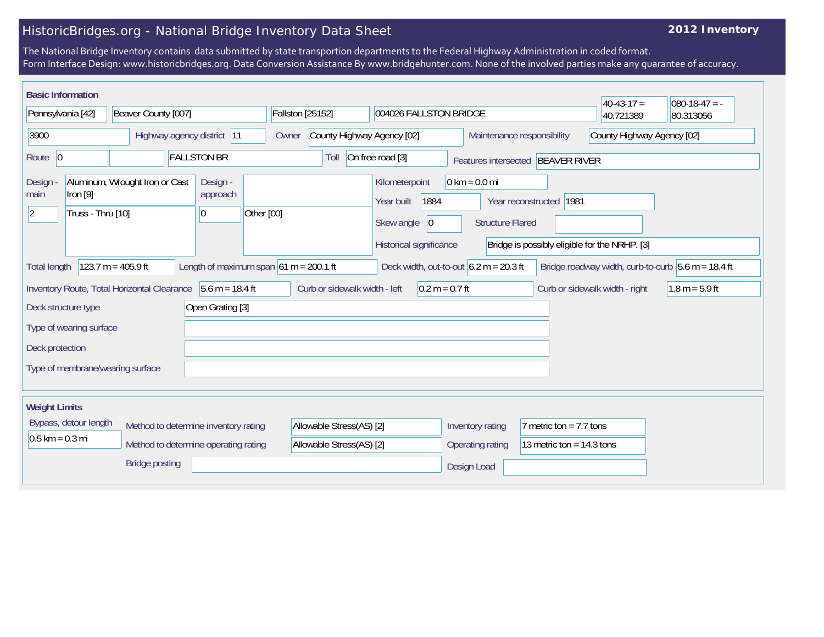## HistoricBridges.org - National Bridge Inventory Data Sheet

## **2012 Inventory**

The National Bridge Inventory contains data submitted by state transportion departments to the Federal Highway Administration in coded format. Form Interface Design: www.historicbridges.org. Data Conversion Assistance By www.bridgehunter.com. None of the involved parties make any guarantee of accuracy.

| <b>Basic Information</b>                                                                                                                                                                  |                                 |                                |                    |                                                             |            |                                     |                               |  |                                                                       |                                   |                                                          |                                                            |                                                                          |           | $40-43-17 =$ | $ 080-18-47 = -$ |
|-------------------------------------------------------------------------------------------------------------------------------------------------------------------------------------------|---------------------------------|--------------------------------|--------------------|-------------------------------------------------------------|------------|-------------------------------------|-------------------------------|--|-----------------------------------------------------------------------|-----------------------------------|----------------------------------------------------------|------------------------------------------------------------|--------------------------------------------------------------------------|-----------|--------------|------------------|
| Pennsylvania [42]                                                                                                                                                                         |                                 | Beaver County [007]            |                    |                                                             |            | <b>Fallston [25152]</b>             |                               |  | 004026 FALLSTON BRIDGE                                                |                                   |                                                          |                                                            |                                                                          | 40.721389 | 80.313056    |                  |
| 3900                                                                                                                                                                                      |                                 | Highway agency district 11     |                    |                                                             |            | County Highway Agency [02]<br>Owner |                               |  |                                                                       |                                   | County Highway Agency [02]<br>Maintenance responsibility |                                                            |                                                                          |           |              |                  |
| Route 0                                                                                                                                                                                   |                                 |                                | <b>FALLSTON BR</b> |                                                             |            | On free road [3]<br>Toll            |                               |  |                                                                       | Features intersected BEAVER RIVER |                                                          |                                                            |                                                                          |           |              |                  |
| Design<br>main<br>$\vert$ 2                                                                                                                                                               | Iron $[9]$<br>Truss - Thru [10] | Aluminum, Wrought Iron or Cast |                    | Design -<br>approach<br>$ 0\rangle$                         | Other [00] |                                     |                               |  | Kilometerpoint<br>Year built<br>Skew angle<br>Historical significance | 1884<br>$ 0\rangle$               |                                                          | $0 \text{ km} = 0.0 \text{ mi}$<br><b>Structure Flared</b> | Year reconstructed 1981<br>Bridge is possibly eligible for the NRHP. [3] |           |              |                  |
| Length of maximum span $61 m = 200.1 ft$<br>123.7 m = 405.9 ft<br>Deck width, out-to-out $6.2 m = 20.3 ft$<br>Bridge roadway width, curb-to-curb $5.6$ m = 18.4 ft<br><b>Total length</b> |                                 |                                |                    |                                                             |            |                                     |                               |  |                                                                       |                                   |                                                          |                                                            |                                                                          |           |              |                  |
|                                                                                                                                                                                           |                                 |                                |                    | Inventory Route, Total Horizontal Clearance 5.6 m = 18.4 ft |            |                                     | Curb or sidewalk width - left |  |                                                                       | $0.2 m = 0.7 ft$                  |                                                          |                                                            | Curb or sidewalk width - right                                           |           |              | $1.8 m = 5.9 ft$ |
| Deck structure type                                                                                                                                                                       |                                 | Open Grating [3]               |                    |                                                             |            |                                     |                               |  |                                                                       |                                   |                                                          |                                                            |                                                                          |           |              |                  |
|                                                                                                                                                                                           | Type of wearing surface         |                                |                    |                                                             |            |                                     |                               |  |                                                                       |                                   |                                                          |                                                            |                                                                          |           |              |                  |
| Deck protection                                                                                                                                                                           |                                 |                                |                    |                                                             |            |                                     |                               |  |                                                                       |                                   |                                                          |                                                            |                                                                          |           |              |                  |
| Type of membrane/wearing surface                                                                                                                                                          |                                 |                                |                    |                                                             |            |                                     |                               |  |                                                                       |                                   |                                                          |                                                            |                                                                          |           |              |                  |
| <b>Weight Limits</b>                                                                                                                                                                      |                                 |                                |                    |                                                             |            |                                     |                               |  |                                                                       |                                   |                                                          |                                                            |                                                                          |           |              |                  |
|                                                                                                                                                                                           | Bypass, detour length           |                                |                    | Method to determine inventory rating                        |            |                                     | Allowable Stress(AS) [2]      |  |                                                                       |                                   |                                                          | Inventory rating                                           | 7 metric ton = $7.7$ tons                                                |           |              |                  |
| $0.5$ km = 0.3 mi                                                                                                                                                                         |                                 |                                |                    | Method to determine operating rating                        |            |                                     | Allowable Stress(AS) [2]      |  |                                                                       |                                   |                                                          | Operating rating                                           | 13 metric ton = $14.3$ tons                                              |           |              |                  |
| <b>Bridge posting</b>                                                                                                                                                                     |                                 |                                |                    |                                                             |            |                                     |                               |  |                                                                       | Design Load                       |                                                          |                                                            |                                                                          |           |              |                  |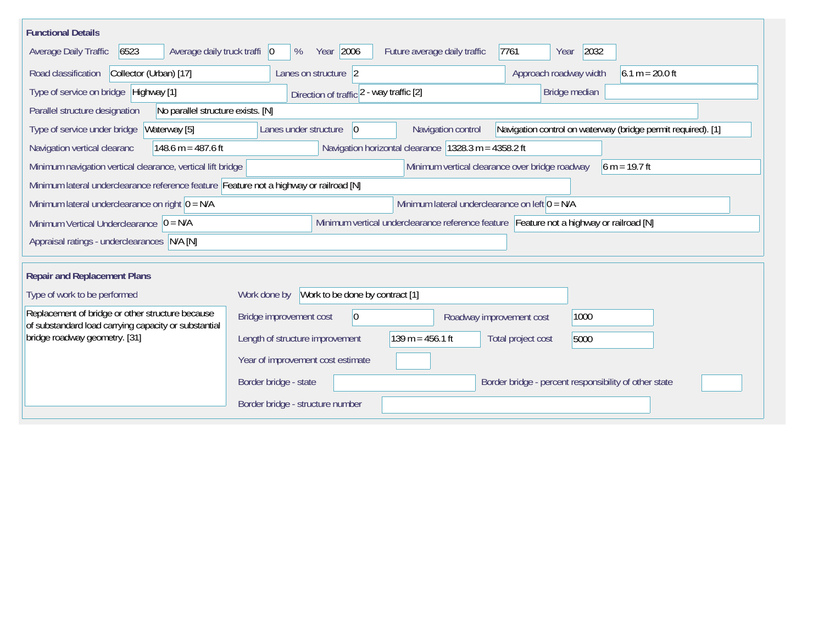| <b>Functional Details</b>                                                                                                                                                     |                                                 |                              |                                                                                         |  |  |  |  |  |  |  |
|-------------------------------------------------------------------------------------------------------------------------------------------------------------------------------|-------------------------------------------------|------------------------------|-----------------------------------------------------------------------------------------|--|--|--|--|--|--|--|
| 6523<br>Average daily truck traffi   0<br>Average Daily Traffic                                                                                                               | Year 2006<br>%                                  | Future average daily traffic | 7761<br>2032<br>Year                                                                    |  |  |  |  |  |  |  |
| Collector (Urban) [17]<br>Road classification                                                                                                                                 | Lanes on structure 2                            |                              | Approach roadway width<br>$6.1 m = 20.0 ft$                                             |  |  |  |  |  |  |  |
| Type of service on bridge Highway [1]                                                                                                                                         | Direction of traffic 2 - way traffic [2]        |                              | Bridge median                                                                           |  |  |  |  |  |  |  |
| No parallel structure exists. [N]<br>Parallel structure designation                                                                                                           |                                                 |                              |                                                                                         |  |  |  |  |  |  |  |
| Waterway [5]<br>Navigation control on waterway (bridge permit required). [1]<br>Type of service under bridge<br>Lanes under structure<br>$\overline{0}$<br>Navigation control |                                                 |                              |                                                                                         |  |  |  |  |  |  |  |
| Navigation horizontal clearance   1328.3 m = 4358.2 ft<br>148.6 m = 487.6 ft<br>Navigation vertical clearanc                                                                  |                                                 |                              |                                                                                         |  |  |  |  |  |  |  |
| Minimum vertical clearance over bridge roadway<br>Minimum navigation vertical clearance, vertical lift bridge<br>$6 m = 19.7 ft$                                              |                                                 |                              |                                                                                         |  |  |  |  |  |  |  |
| Minimum lateral underclearance reference feature Feature not a highway or railroad [N]                                                                                        |                                                 |                              |                                                                                         |  |  |  |  |  |  |  |
| Minimum lateral underclearance on left $0 = N/A$<br>Minimum lateral underclearance on right $0 = N/A$                                                                         |                                                 |                              |                                                                                         |  |  |  |  |  |  |  |
| Minimum Vertical Underclearance $ 0 = N/A$                                                                                                                                    |                                                 |                              | Minimum vertical underclearance reference feature Feature not a highway or railroad [N] |  |  |  |  |  |  |  |
| Appraisal ratings - underclearances N/A [N]                                                                                                                                   |                                                 |                              |                                                                                         |  |  |  |  |  |  |  |
|                                                                                                                                                                               |                                                 |                              |                                                                                         |  |  |  |  |  |  |  |
| <b>Repair and Replacement Plans</b>                                                                                                                                           |                                                 |                              |                                                                                         |  |  |  |  |  |  |  |
| Type of work to be performed                                                                                                                                                  | Work to be done by contract [1]<br>Work done by |                              |                                                                                         |  |  |  |  |  |  |  |
| Replacement of bridge or other structure because<br>of substandard load carrying capacity or substantial                                                                      | Bridge improvement cost<br>$ 0\rangle$          | Roadway improvement cost     | 1000                                                                                    |  |  |  |  |  |  |  |
| bridge roadway geometry. [31]                                                                                                                                                 | Length of structure improvement                 | $139 m = 456.1 ft$           | Total project cost<br>5000                                                              |  |  |  |  |  |  |  |
|                                                                                                                                                                               | Year of improvement cost estimate               |                              |                                                                                         |  |  |  |  |  |  |  |
|                                                                                                                                                                               | Border bridge - state                           |                              | Border bridge - percent responsibility of other state                                   |  |  |  |  |  |  |  |
|                                                                                                                                                                               | Border bridge - structure number                |                              |                                                                                         |  |  |  |  |  |  |  |